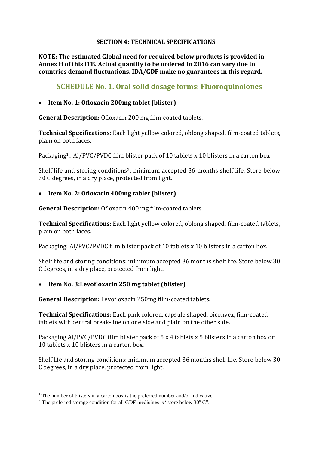#### **SECTION 4: TECHNICAL SPECIFICATIONS**

**NOTE: The estimated Global need for required below products is provided in Annex H of this ITB. Actual quantity to be ordered in 2016 can vary due to countries demand fluctuations. IDA/GDF make no guarantees in this regard.**

# **SCHEDULE No. 1. Oral solid dosage forms: Fluoroquinolones**

#### **Item No. 1: Ofloxacin 200mg tablet (blister)**

**General Description:** Ofloxacin 200 mg film-coated tablets.

**Technical Specifications:** Each light yellow colored, oblong shaped, film-coated tablets, plain on both faces.

Packaging<sup>1</sup>.: Al/PVC/PVDC film blister pack of 10 tablets x 10 blisters in a carton box

Shelf life and storing conditions<sup>2</sup>: minimum accepted 36 months shelf life. Store below 30 C degrees, in a dry place, protected from light.

#### **Item No. 2: Ofloxacin 400mg tablet (blister)**

**General Description:** Ofloxacin 400 mg film-coated tablets.

**Technical Specifications:** Each light yellow colored, oblong shaped, film-coated tablets, plain on both faces.

Packaging: Al/PVC/PVDC film blister pack of 10 tablets x 10 blisters in a carton box.

Shelf life and storing conditions: minimum accepted 36 months shelf life. Store below 30 C degrees, in a dry place, protected from light.

# **Item No. 3:Levofloxacin 250 mg tablet (blister)**

**General Description:** Levofloxacin 250mg film-coated tablets.

**Technical Specifications:** Each pink colored, capsule shaped, biconvex, film-coated tablets with central break-line on one side and plain on the other side.

Packaging Al/PVC/PVDC film blister pack of 5 x 4 tablets x 5 blisters in a carton box or 10 tablets x 10 blisters in a carton box.

Shelf life and storing conditions: minimum accepted 36 months shelf life. Store below 30 C degrees, in a dry place, protected from light.

1

 $1$ . The number of blisters in a carton box is the preferred number and/or indicative.

<sup>&</sup>lt;sup>2</sup> The preferred storage condition for all GDF medicines is "store below 30 $^{\circ}$  C".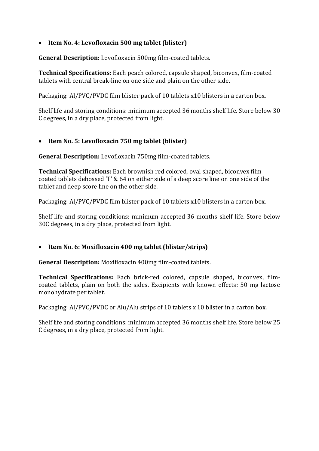# **Item No. 4: Levofloxacin 500 mg tablet (blister)**

**General Description:** Levofloxacin 500mg film-coated tablets.

**Technical Specifications:** Each peach colored, capsule shaped, biconvex, film-coated tablets with central break-line on one side and plain on the other side.

Packaging: Al/PVC/PVDC film blister pack of 10 tablets x10 blisters in a carton box.

Shelf life and storing conditions: minimum accepted 36 months shelf life. Store below 30 C degrees, in a dry place, protected from light.

# **Item No. 5: Levofloxacin 750 mg tablet (blister)**

**General Description:** Levofloxacin 750mg film-coated tablets.

**Technical Specifications:** Each brownish red colored, oval shaped, biconvex film coated tablets debossed 'T' & 64 on either side of a deep score line on one side of the tablet and deep score line on the other side.

Packaging: Al/PVC/PVDC film blister pack of 10 tablets x10 blisters in a carton box.

Shelf life and storing conditions: minimum accepted 36 months shelf life. Store below 30C degrees, in a dry place, protected from light.

# **Item No. 6: Moxifloxacin 400 mg tablet (blister/strips)**

**General Description:** Moxifloxacin 400mg film-coated tablets.

**Technical Specifications:** Each brick-red colored, capsule shaped, biconvex, filmcoated tablets, plain on both the sides. Excipients with known effects: 50 mg lactose monohydrate per tablet.

Packaging: Al/PVC/PVDC or Alu/Alu strips of 10 tablets x 10 blister in a carton box.

Shelf life and storing conditions: minimum accepted 36 months shelf life. Store below 25 C degrees, in a dry place, protected from light.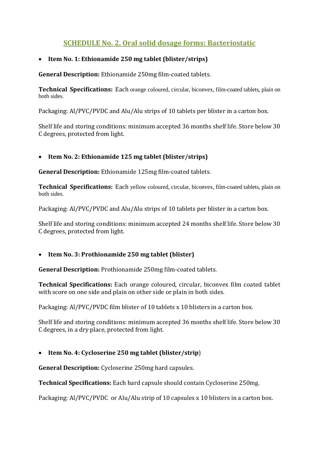# **SCHEDULE No. 2. Oral solid dosage forms: Bacteriostatic**

# **Item No. 1: Ethionamide 250 mg tablet (blister/strips)**

**General Description:** Ethionamide 250mg film-coated tablets.

**Technical Specifications:** Each orange coloured, circular, biconvex, film-coated tablets, plain on both sides.

Packaging: Al/PVC/PVDC and Alu/Alu strips of 10 tablets per blister in a carton box.

Shelf life and storing conditions: minimum accepted 36 months shelf life. Store below 30 C degrees, protected from light.

# **Item No. 2: Ethionamide 125 mg tablet (blister/strips)**

**General Description:** Ethionamide 125mg film-coated tablets.

**Technical Specifications:** Each yellow coloured, circular, biconvex, film-coated tablets, plain on both sides.

Packaging: Al/PVC/PVDC and Alu/Alu strips of 10 tablets per blister in a carton box.

Shelf life and storing conditions: minimum accepted 24 months shelf life. Store below 30 C degrees, protected from light.

# **Item No. 3: Prothionamide 250 mg tablet (blister)**

**General Description:** Prothionamide 250mg film-coated tablets.

**Technical Specifications:** Each orange coloured, circular, biconvex film coated tablet with score on one side and plain on other side or plain in both sides.

Packaging: Al/PVC/PVDC film blister of 10 tablets x 10 blisters in a carton box.

Shelf life and storing conditions: minimum accepted 36 months shelf life. Store below 30 C degrees, in a dry place, protected from light.

# **Item No. 4: Cycloserine 250 mg tablet (blister/strip**)

**General Description:** Cycloserine 250mg hard capsules.

**Technical Specifications:** Each hard capsule should contain Cycloserine 250mg.

Packaging: Al/PVC/PVDC or Alu/Alu strip of 10 capsules x 10 blisters in a carton box.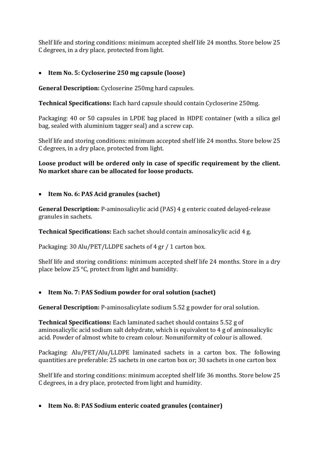Shelf life and storing conditions: minimum accepted shelf life 24 months. Store below 25 C degrees, in a dry place, protected from light.

# **Item No. 5: Cycloserine 250 mg capsule (loose)**

**General Description:** Cycloserine 250mg hard capsules.

**Technical Specifications:** Each hard capsule should contain Cycloserine 250mg.

Packaging: 40 or 50 capsules in LPDE bag placed in HDPE container (with a silica gel bag, sealed with aluminium tagger seal) and a screw cap.

Shelf life and storing conditions: minimum accepted shelf life 24 months. Store below 25 C degrees, in a dry place, protected from light.

# **Loose product will be ordered only in case of specific requirement by the client. No market share can be allocated for loose products.**

# **Item No. 6: PAS Acid granules (sachet)**

**General Description:** P-aminosalicylic acid (PAS) 4 g enteric coated delayed-release granules in sachets.

**Technical Specifications:** Each sachet should contain aminosalicylic acid 4 g.

Packaging: 30 Alu/PET/LLDPE sachets of 4 gr / 1 carton box.

Shelf life and storing conditions: minimum accepted shelf life 24 months. Store in a dry place below 25 °C, protect from light and humidity.

# **Item No. 7: PAS Sodium powder for oral solution (sachet)**

**General Description:** P-aminosalicylate sodium 5.52 g powder for oral solution.

**Technical Specifications:** Each laminated sachet should contains 5.52 g of aminosalicylic acid sodium salt dehydrate, which is equivalent to 4 g of aminosalicylic acid. Powder of almost white to cream colour. Nonuniformity of colour is allowed.

Packaging: Alu/PET/Alu/LLDPE laminated sachets in a carton box. The following quantities are preferable: 25 sachets in one carton box or; 30 sachets in one carton box

Shelf life and storing conditions: minimum accepted shelf life 36 months. Store below 25 C degrees, in a dry place, protected from light and humidity.

**Item No. 8: PAS Sodium enteric coated granules (container)**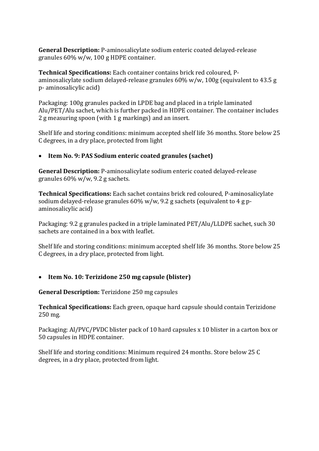**General Description:** P-aminosalicylate sodium enteric coated delayed-release granules 60% w/w, 100 g HDPE container.

**Technical Specifications:** Each container contains brick red coloured, Paminosalicylate sodium delayed-release granules 60% w/w, 100g (equivalent to 43.5 g p- aminosalicylic acid)

Packaging: 100g granules packed in LPDE bag and placed in a triple laminated Alu/PET/Alu sachet, which is further packed in HDPE container. The container includes 2 g measuring spoon (with 1 g markings) and an insert.

Shelf life and storing conditions: minimum accepted shelf life 36 months. Store below 25 C degrees, in a dry place, protected from light

# **Item No. 9: PAS Sodium enteric coated granules (sachet)**

**General Description:** P-aminosalicylate sodium enteric coated delayed-release granules 60% w/w, 9.2 g sachets.

**Technical Specifications:** Each sachet contains brick red coloured, P-aminosalicylate sodium delayed-release granules 60% w/w, 9.2 g sachets (equivalent to 4 g paminosalicylic acid)

Packaging: 9.2 g granules packed in a triple laminated PET/Alu/LLDPE sachet, such 30 sachets are contained in a box with leaflet.

Shelf life and storing conditions: minimum accepted shelf life 36 months. Store below 25 C degrees, in a dry place, protected from light.

#### **Item No. 10: Terizidone 250 mg capsule (blister)**

**General Description:** Terizidone 250 mg capsules

**Technical Specifications:** Each green, opaque hard capsule should contain Terizidone 250 mg.

Packaging: Al/PVC/PVDC blister pack of 10 hard capsules x 10 blister in a carton box or 50 capsules in HDPE container.

Shelf life and storing conditions: Minimum required 24 months. Store below 25 C degrees, in a dry place, protected from light.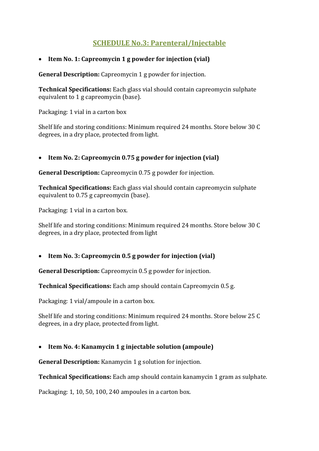# **SCHEDULE No.3: Parenteral/Injectable**

# **Item No. 1: Capreomycin 1 g powder for injection (vial)**

**General Description:** Capreomycin 1 g powder for injection.

**Technical Specifications:** Each glass vial should contain capreomycin sulphate equivalent to 1 g capreomycin (base).

Packaging: 1 vial in a carton box

Shelf life and storing conditions: Minimum required 24 months. Store below 30 C degrees, in a dry place, protected from light.

# **Item No. 2: Capreomycin 0.75 g powder for injection (vial)**

**General Description:** Capreomycin 0.75 g powder for injection.

**Technical Specifications:** Each glass vial should contain capreomycin sulphate equivalent to 0.75 g capreomycin (base).

Packaging: 1 vial in a carton box.

Shelf life and storing conditions: Minimum required 24 months. Store below 30 C degrees, in a dry place, protected from light

# **Item No. 3: Capreomycin 0.5 g powder for injection (vial)**

**General Description:** Capreomycin 0.5 g powder for injection.

**Technical Specifications:** Each amp should contain Capreomycin 0.5 g.

Packaging: 1 vial/ampoule in a carton box.

Shelf life and storing conditions: Minimum required 24 months. Store below 25 C degrees, in a dry place, protected from light.

# **Item No. 4: Kanamycin 1 g injectable solution (ampoule)**

**General Description:** Kanamycin 1 g solution for injection.

**Technical Specifications:** Each amp should contain kanamycin 1 gram as sulphate.

Packaging: 1, 10, 50, 100, 240 ampoules in a carton box.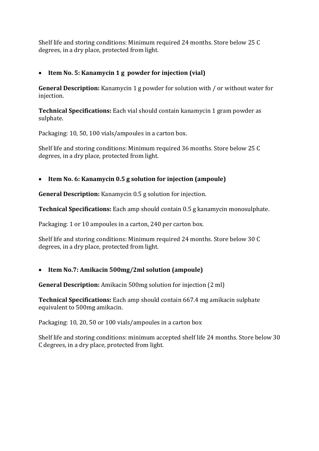Shelf life and storing conditions: Minimum required 24 months. Store below 25 C degrees, in a dry place, protected from light.

# **Item No. 5: Kanamycin 1 g powder for injection (vial)**

**General Description:** Kanamycin 1 g powder for solution with / or without water for injection.

**Technical Specifications:** Each vial should contain kanamycin 1 gram powder as sulphate.

Packaging: 10, 50, 100 vials/ampoules in a carton box.

Shelf life and storing conditions: Minimum required 36 months. Store below 25 C degrees, in a dry place, protected from light.

# **Item No. 6: Kanamycin 0.5 g solution for injection (ampoule)**

**General Description:** Kanamycin 0.5 g solution for injection.

**Technical Specifications:** Each amp should contain 0.5 g kanamycin monosulphate.

Packaging: 1 or 10 ampoules in a carton, 240 per carton box.

Shelf life and storing conditions: Minimum required 24 months. Store below 30 C degrees, in a dry place, protected from light.

# **Item No.7: Amikacin 500mg/2ml solution (ampoule)**

**General Description:** Amikacin 500mg solution for injection (2 ml)

**Technical Specifications:** Each amp should contain 667.4 mg amikacin sulphate equivalent to 500mg amikacin.

Packaging: 10, 20, 50 or 100 vials/ampoules in a carton box

Shelf life and storing conditions: minimum accepted shelf life 24 months. Store below 30 C degrees, in a dry place, protected from light.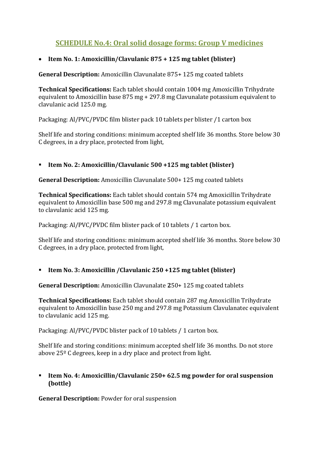# **SCHEDULE No.4: Oral solid dosage forms: Group V medicines**

# **Item No. 1: Amoxicillin/Clavulanic 875 + 125 mg tablet (blister)**

**General Description:** Amoxicillin Clavunalate 875+ 125 mg coated tablets

**Technical Specifications:** Each tablet should contain 1004 mg Amoxicillin Trihydrate equivalent to Amoxicillin base 875 mg + 297.8 mg Clavunalate potassium equivalent to clavulanic acid 125.0 mg.

Packaging: Al/PVC/PVDC film blister pack 10 tablets per blister /1 carton box

Shelf life and storing conditions: minimum accepted shelf life 36 months. Store below 30 C degrees, in a dry place, protected from light,

# **Item No. 2: Amoxicillin/Clavulanic 500 +125 mg tablet (blister)**

**General Description:** Amoxicillin Clavunalate 500+ 125 mg coated tablets

**Technical Specifications:** Each tablet should contain 574 mg Amoxicillin Trihydrate equivalent to Amoxicillin base 500 mg and 297.8 mg Clavunalate potassium equivalent to clavulanic acid 125 mg.

Packaging: Al/PVC/PVDC film blister pack of 10 tablets / 1 carton box.

Shelf life and storing conditions: minimum accepted shelf life 36 months. Store below 30 C degrees, in a dry place, protected from light,

**Item No. 3: Amoxicillin /Clavulanic 250 +125 mg tablet (blister)**

**General Description:** Amoxicillin Clavunalate **2**50+ 125 mg coated tablets

**Technical Specifications:** Each tablet should contain 287 mg Amoxicillin Trihydrate equivalent to Amoxicillin base 250 mg and 297.8 mg Potassium Clavulanatec equivalent to clavulanic acid 125 mg.

Packaging: Al/PVC/PVDC blister pack of 10 tablets / 1 carton box.

Shelf life and storing conditions: minimum accepted shelf life 36 months. Do not store above 25º C degrees, keep in a dry place and protect from light.

#### **Item No. 4: Amoxicillin/Clavulanic 250+ 62.5 mg powder for oral suspension (bottle)**

**General Description:** Powder for oral suspension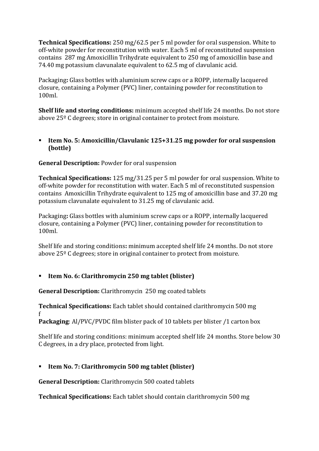**Technical Specifications:** 250 mg/62.5 per 5 ml powder for oral suspension. White to off-white powder for reconstitution with water. Each 5 ml of reconstituted suspension contains 287 mg Amoxicillin Trihydrate equivalent to 250 mg of amoxicillin base and 74.40 mg potassium clavunalate equivalent to 62.5 mg of clavulanic acid.

Packaging**:** Glass bottles with aluminium screw caps or a ROPP, internally lacquered closure, containing a Polymer (PVC) liner, containing powder for reconstitution to 100ml.

**Shelf life and storing conditions:** minimum accepted shelf life 24 months. Do not store above 25º C degrees; store in original container to protect from moisture.

#### **Item No. 5: Amoxicillin/Clavulanic 125+31.25 mg powder for oral suspension (bottle)**

# **General Description:** Powder for oral suspension

**Technical Specifications:** 125 mg/31.25 per 5 ml powder for oral suspension. White to off-white powder for reconstitution with water. Each 5 ml of reconstituted suspension contains Amoxicillin Trihydrate equivalent to 125 mg of amoxicillin base and 37.20 mg potassium clavunalate equivalent to 31.25 mg of clavulanic acid.

Packaging**:** Glass bottles with aluminium screw caps or a ROPP, internally lacquered closure, containing a Polymer (PVC) liner, containing powder for reconstitution to 100ml.

Shelf life and storing conditions**:** minimum accepted shelf life 24 months. Do not store above 25º C degrees; store in original container to protect from moisture.

# **Item No. 6: Clarithromycin 250 mg tablet (blister)**

**General Description:** Clarithromycin 250 mg coated tablets

**Technical Specifications:** Each tablet should contained clarithromycin 500 mg f

**Packaging**: Al/PVC/PVDC film blister pack of 10 tablets per blister /1 carton box

Shelf life and storing conditions: minimum accepted shelf life 24 months. Store below 30 C degrees, in a dry place, protected from light.

# **Item No. 7: Clarithromycin 500 mg tablet (blister)**

**General Description:** Clarithromycin 500 coated tablets

**Technical Specifications:** Each tablet should contain clarithromycin 500 mg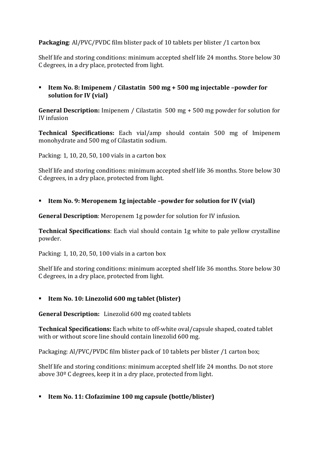# **Packaging**: Al/PVC/PVDC film blister pack of 10 tablets per blister /1 carton box

Shelf life and storing conditions: minimum accepted shelf life 24 months. Store below 30 C degrees, in a dry place, protected from light.

 **Item No. 8: Imipenem / Cilastatin 500 mg + 500 mg injectable –powder for solution for IV (vial)**

**General Description:** Imipenem / Cilastatin 500 mg + 500 mg powder for solution for IV infusion

**Technical Specifications:** Each vial/amp should contain 500 mg of Imipenem monohydrate and 500 mg of Cilastatin sodium.

Packing: 1, 10, 20, 50, 100 vials in a carton box

Shelf life and storing conditions: minimum accepted shelf life 36 months. Store below 30 C degrees, in a dry place, protected from light.

**Item No. 9: Meropenem 1g injectable –powder for solution for IV (vial)**

**General Description**: Meropenem 1g powder for solution for IV infusion.

**Technical Specifications**: Each vial should contain 1g white to pale yellow crystalline powder.

Packing: 1, 10, 20, 50, 100 vials in a carton box

Shelf life and storing conditions: minimum accepted shelf life 36 months. Store below 30 C degrees, in a dry place, protected from light.

#### **Item No. 10: Linezolid 600 mg tablet (blister)**

**General Description:** Linezolid 600 mg coated tablets

**Technical Specifications:** Each white to off-white oval/capsule shaped, coated tablet with or without score line should contain linezolid 600 mg.

Packaging: Al/PVC/PVDC film blister pack of 10 tablets per blister /1 carton box;

Shelf life and storing conditions: minimum accepted shelf life 24 months. Do not store above 30º C degrees, keep it in a dry place, protected from light.

**Item No. 11: Clofazimine 100 mg capsule (bottle/blister)**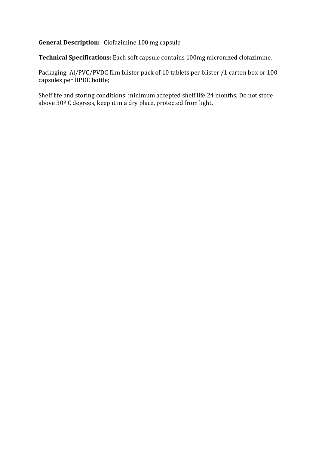# **General Description:** Clofazimine 100 mg capsule

**Technical Specifications:** Each soft capsule contains 100mg micronized clofazimine.

Packaging: Al/PVC/PVDC film blister pack of 10 tablets per blister /1 carton box or 100 capsules per HPDE bottle;

Shelf life and storing conditions: minimum accepted shelf life 24 months. Do not store above 30º C degrees, keep it in a dry place, protected from light.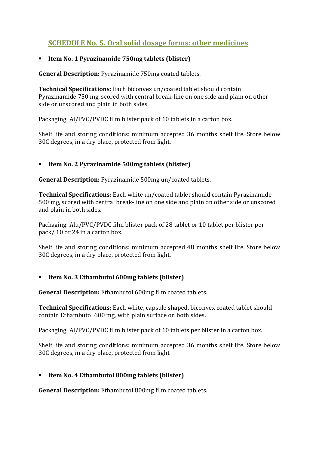# **SCHEDULE No. 5. Oral solid dosage forms: other medicines**

# **Item No. 1 Pyrazinamide 750mg tablets (blister)**

**General Description:** Pyrazinamide 750mg coated tablets.

**Technical Specifications:** Each biconvex un/coated tablet should contain Pyrazinamide 750 mg, scored with central break-line on one side and plain on other side or unscored and plain in both sides.

Packaging: Al/PVC/PVDC film blister pack of 10 tablets in a carton box.

Shelf life and storing conditions: minimum accepted 36 months shelf life. Store below 30C degrees, in a dry place, protected from light.

# **Item No. 2 Pyrazinamide 500mg tablets (blister)**

**General Description:** Pyrazinamide 500mg un/coated tablets.

**Technical Specifications:** Each white un/coated tablet should contain Pyrazinamide 500 mg, scored with central break-line on one side and plain on other side or unscored and plain in both sides.

Packaging: Alu/PVC/PVDC film blister pack of 28 tablet or 10 tablet per blister per pack/ 10 or 24 in a carton box.

Shelf life and storing conditions: minimum accepted 48 months shelf life. Store below 30C degrees, in a dry place, protected from light.

# **Item No. 3 Ethambutol 600mg tablets (blister)**

**General Description:** Ethambutol 600mg film coated tablets.

**Technical Specifications:** Each white, capsule shaped, biconvex coated tablet should contain Ethambutol 600 mg, with plain surface on both sides.

Packaging: Al/PVC/PVDC film blister pack of 10 tablets per blister in a carton box.

Shelf life and storing conditions: minimum accepted 36 months shelf life. Store below 30C degrees, in a dry place, protected from light

# **Item No. 4 Ethambutol 800mg tablets (blister)**

**General Description:** Ethambutol 800mg film coated tablets.